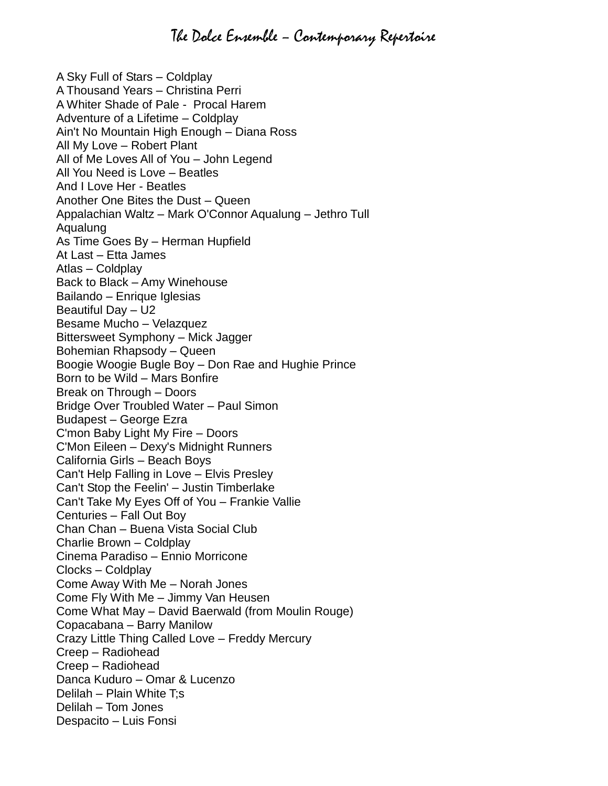## The Dolce Ensemble – Contemporary Repertoire

A Sky Full of Stars – Coldplay A Thousand Years – Christina Perri A Whiter Shade of Pale - Procal Harem Adventure of a Lifetime – Coldplay Ain't No Mountain High Enough – Diana Ross All My Love – Robert Plant All of Me Loves All of You – John Legend All You Need is Love – Beatles And I Love Her - Beatles Another One Bites the Dust – Queen Appalachian Waltz – Mark O'Connor Aqualung – Jethro Tull Aqualung As Time Goes By – Herman Hupfield At Last – Etta James Atlas – Coldplay Back to Black – Amy Winehouse Bailando – Enrique Iglesias Beautiful Day – U2 Besame Mucho – Velazquez Bittersweet Symphony – Mick Jagger Bohemian Rhapsody – Queen Boogie Woogie Bugle Boy – Don Rae and Hughie Prince Born to be Wild – Mars Bonfire Break on Through – Doors Bridge Over Troubled Water – Paul Simon Budapest – George Ezra C'mon Baby Light My Fire – Doors C'Mon Eileen – Dexy's Midnight Runners California Girls – Beach Boys Can't Help Falling in Love – Elvis Presley Can't Stop the Feelin' – Justin Timberlake Can't Take My Eyes Off of You – Frankie Vallie Centuries – Fall Out Boy Chan Chan – Buena Vista Social Club Charlie Brown – Coldplay Cinema Paradiso – Ennio Morricone Clocks – Coldplay Come Away With Me – Norah Jones Come Fly With Me – Jimmy Van Heusen Come What May – David Baerwald (from Moulin Rouge) Copacabana – Barry Manilow Crazy Little Thing Called Love – Freddy Mercury Creep – Radiohead Creep – Radiohead Danca Kuduro – Omar & Lucenzo Delilah – Plain White T;s Delilah – Tom Jones Despacito – Luis Fonsi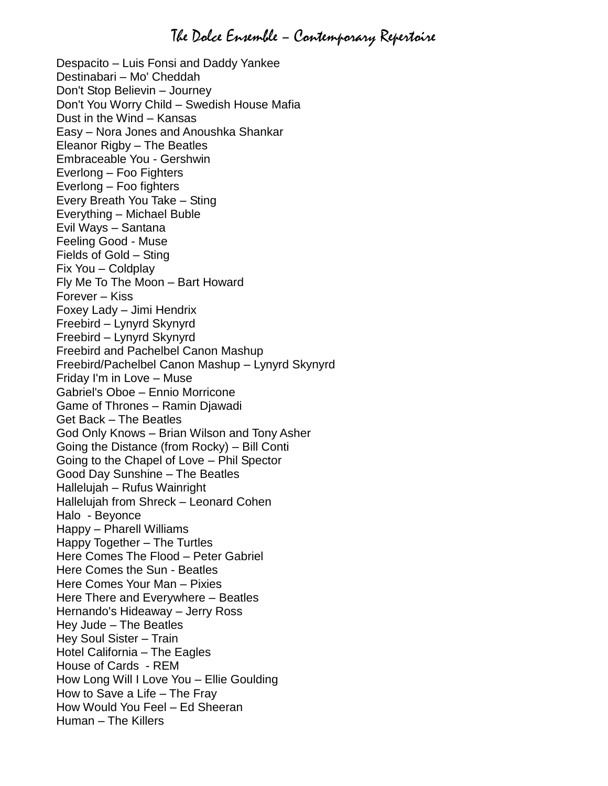Despacito – Luis Fonsi and Daddy Yankee Destinabari – Mo' Cheddah Don't Stop Believin – Journey Don't You Worry Child – Swedish House Mafia Dust in the Wind – Kansas Easy – Nora Jones and Anoushka Shankar Eleanor Rigby – The Beatles Embraceable You - Gershwin Everlong – Foo Fighters Everlong – Foo fighters Every Breath You Take – Sting Everything – Michael Buble Evil Ways – Santana Feeling Good - Muse Fields of Gold – Sting Fix You – Coldplay Fly Me To The Moon – Bart Howard Forever – Kiss Foxey Lady – Jimi Hendrix Freebird – Lynyrd Skynyrd Freebird – Lynyrd Skynyrd Freebird and Pachelbel Canon Mashup Freebird/Pachelbel Canon Mashup – Lynyrd Skynyrd Friday I'm in Love – Muse Gabriel's Oboe – Ennio Morricone Game of Thrones – Ramin Djawadi Get Back – The Beatles God Only Knows – Brian Wilson and Tony Asher Going the Distance (from Rocky) – Bill Conti Going to the Chapel of Love – Phil Spector Good Day Sunshine – The Beatles Hallelujah – Rufus Wainright Hallelujah from Shreck – Leonard Cohen Halo - Beyonce Happy – Pharell Williams Happy Together – The Turtles Here Comes The Flood – Peter Gabriel Here Comes the Sun - Beatles Here Comes Your Man – Pixies Here There and Everywhere – Beatles Hernando's Hideaway – Jerry Ross Hey Jude – The Beatles Hey Soul Sister – Train Hotel California – The Eagles House of Cards - REM How Long Will I Love You – Ellie Goulding How to Save a Life – The Fray How Would You Feel – Ed Sheeran Human – The Killers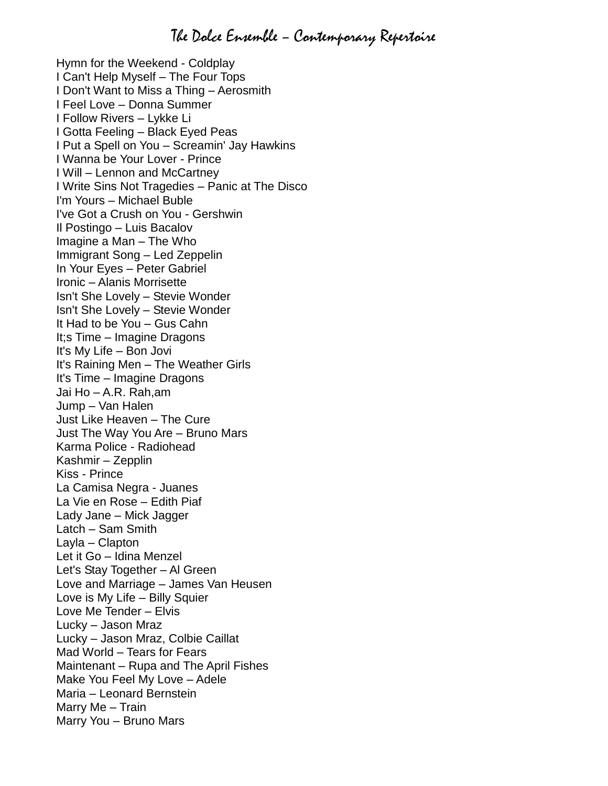Hymn for the Weekend - Coldplay I Can't Help Myself – The Four Tops I Don't Want to Miss a Thing – Aerosmith I Feel Love – Donna Summer I Follow Rivers – Lykke Li I Gotta Feeling – Black Eyed Peas I Put a Spell on You – Screamin' Jay Hawkins I Wanna be Your Lover - Prince I Will – Lennon and McCartney I Write Sins Not Tragedies – Panic at The Disco I'm Yours – Michael Buble I've Got a Crush on You - Gershwin Il Postingo – Luis Bacalov Imagine a Man – The Who Immigrant Song – Led Zeppelin In Your Eyes – Peter Gabriel Ironic – Alanis Morrisette Isn't She Lovely – Stevie Wonder Isn't She Lovely – Stevie Wonder It Had to be You – Gus Cahn It;s Time – Imagine Dragons It's My Life – Bon Jovi It's Raining Men – The Weather Girls It's Time – Imagine Dragons Jai Ho – A.R. Rah,am Jump – Van Halen Just Like Heaven – The Cure Just The Way You Are – Bruno Mars Karma Police - Radiohead Kashmir – Zepplin Kiss - Prince La Camisa Negra - Juanes La Vie en Rose – Edith Piaf Lady Jane – Mick Jagger Latch – Sam Smith Layla – Clapton Let it Go – Idina Menzel Let's Stay Together – Al Green Love and Marriage – James Van Heusen Love is My Life – Billy Squier Love Me Tender – Elvis Lucky – Jason Mraz Lucky – Jason Mraz, Colbie Caillat Mad World – Tears for Fears Maintenant – Rupa and The April Fishes Make You Feel My Love – Adele Maria – Leonard Bernstein Marry Me – Train Marry You – Bruno Mars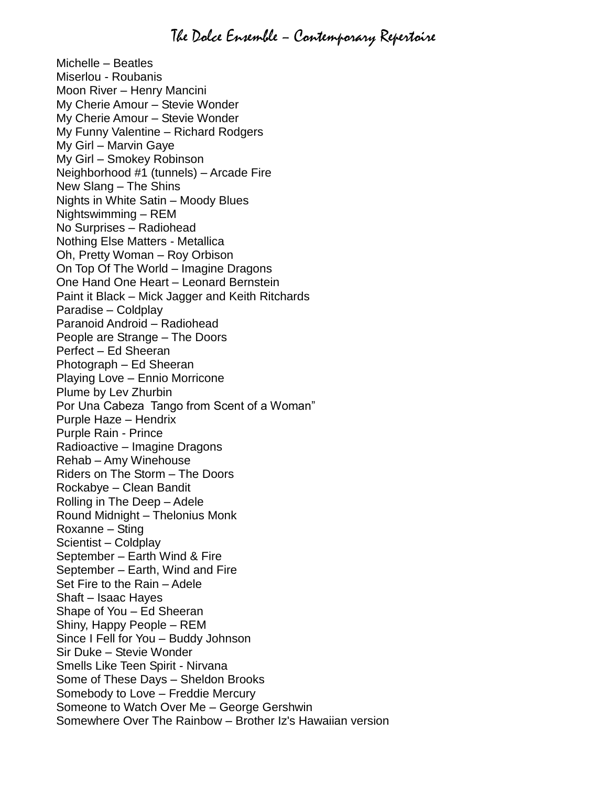Michelle – Beatles Miserlou - Roubanis Moon River – Henry Mancini My Cherie Amour – Stevie Wonder My Cherie Amour – Stevie Wonder My Funny Valentine – Richard Rodgers My Girl – Marvin Gaye My Girl – Smokey Robinson Neighborhood #1 (tunnels) – Arcade Fire New Slang – The Shins Nights in White Satin – Moody Blues Nightswimming – REM No Surprises – Radiohead Nothing Else Matters - Metallica Oh, Pretty Woman – Roy Orbison On Top Of The World – Imagine Dragons One Hand One Heart – Leonard Bernstein Paint it Black – Mick Jagger and Keith Ritchards Paradise – Coldplay Paranoid Android – Radiohead People are Strange – The Doors Perfect – Ed Sheeran Photograph – Ed Sheeran Playing Love – Ennio Morricone Plume by Lev Zhurbin Por Una Cabeza Tango from Scent of a Woman" Purple Haze – Hendrix Purple Rain - Prince Radioactive – Imagine Dragons Rehab – Amy Winehouse Riders on The Storm – The Doors Rockabye – Clean Bandit Rolling in The Deep – Adele Round Midnight – Thelonius Monk Roxanne – Sting Scientist – Coldplay September – Earth Wind & Fire September – Earth, Wind and Fire Set Fire to the Rain – Adele Shaft – Isaac Hayes Shape of You – Ed Sheeran Shiny, Happy People – REM Since I Fell for You – Buddy Johnson Sir Duke – Stevie Wonder Smells Like Teen Spirit - Nirvana Some of These Days – Sheldon Brooks Somebody to Love – Freddie Mercury Someone to Watch Over Me – George Gershwin Somewhere Over The Rainbow – Brother Iz's Hawaiian version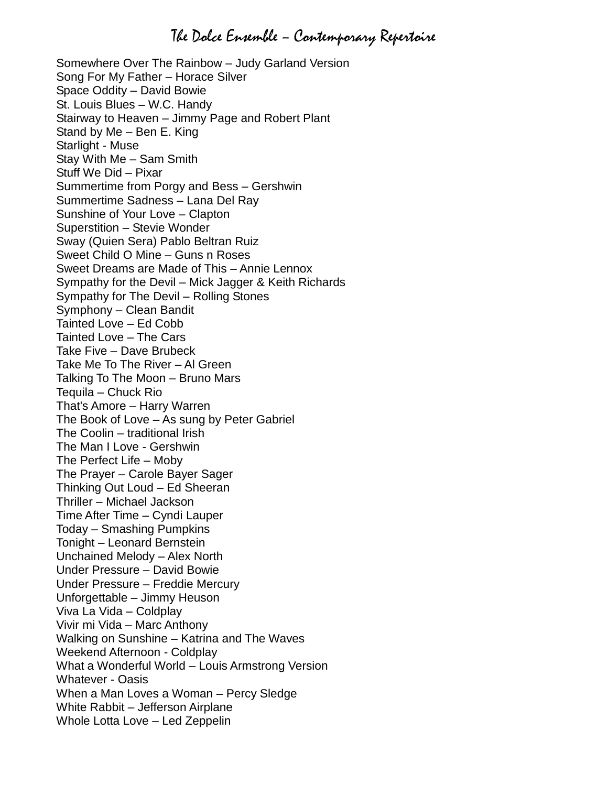## The Dolce Ensemble – Contemporary Repertoire

Somewhere Over The Rainbow – Judy Garland Version Song For My Father – Horace Silver Space Oddity – David Bowie St. Louis Blues – W.C. Handy Stairway to Heaven – Jimmy Page and Robert Plant Stand by Me – Ben E. King Starlight - Muse Stay With Me – Sam Smith Stuff We Did – Pixar Summertime from Porgy and Bess – Gershwin Summertime Sadness – Lana Del Ray Sunshine of Your Love – Clapton Superstition – Stevie Wonder Sway (Quien Sera) Pablo Beltran Ruiz Sweet Child O Mine – Guns n Roses Sweet Dreams are Made of This – Annie Lennox Sympathy for the Devil – Mick Jagger & Keith Richards Sympathy for The Devil – Rolling Stones Symphony – Clean Bandit Tainted Love – Ed Cobb Tainted Love – The Cars Take Five – Dave Brubeck Take Me To The River – Al Green Talking To The Moon – Bruno Mars Tequila – Chuck Rio That's Amore – Harry Warren The Book of Love – As sung by Peter Gabriel The Coolin – traditional Irish The Man I Love - Gershwin The Perfect Life – Moby The Prayer – Carole Bayer Sager Thinking Out Loud – Ed Sheeran Thriller – Michael Jackson Time After Time – Cyndi Lauper Today – Smashing Pumpkins Tonight – Leonard Bernstein Unchained Melody – Alex North Under Pressure – David Bowie Under Pressure – Freddie Mercury Unforgettable – Jimmy Heuson Viva La Vida – Coldplay Vivir mi Vida – Marc Anthony Walking on Sunshine – Katrina and The Waves Weekend Afternoon - Coldplay What a Wonderful World – Louis Armstrong Version Whatever - Oasis When a Man Loves a Woman – Percy Sledge White Rabbit – Jefferson Airplane Whole Lotta Love – Led Zeppelin